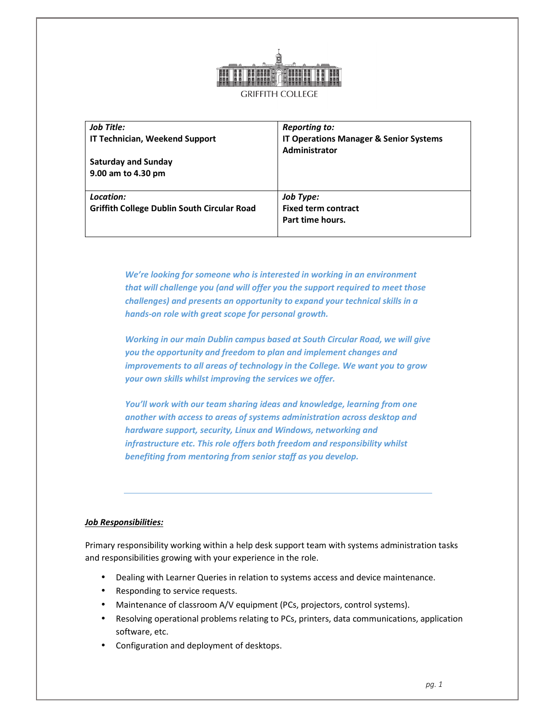

| Job Title:<br><b>IT Technician, Weekend Support</b><br><b>Saturday and Sunday</b><br>9.00 am to 4.30 pm | Reporting to:<br><b>IT Operations Manager &amp; Senior Systems</b><br>Administrator |
|---------------------------------------------------------------------------------------------------------|-------------------------------------------------------------------------------------|
| Location:<br><b>Griffith College Dublin South Circular Road</b>                                         | Job Type:<br><b>Fixed term contract</b><br>Part time hours.                         |

*We're looking for someone who is interested in working in an environment that will challenge you (and will offer you the support required to meet those challenges) and presents an opportunity to expand your technical skills in a hands-on role with great scope for personal growth.* 

*Working in our main Dublin campus based at South Circular Road, we will give you the opportunity and freedom to plan and implement changes and improvements to all areas of technology in the College. We want you to grow your own skills whilst improving the services we offer.* 

*You'll work with our team sharing ideas and knowledge, learning from one another with access to areas of systems administration across desktop and hardware support, security, Linux and Windows, networking and infrastructure etc. This role offers both freedom and responsibility whilst benefiting from mentoring from senior staff as you develop.* 

## *Job Responsibilities:*

Primary responsibility working within a help desk support team with systems administration tasks and responsibilities growing with your experience in the role.

- Dealing with Learner Queries in relation to systems access and device maintenance.
- Responding to service requests.
- Maintenance of classroom A/V equipment (PCs, projectors, control systems).
- Resolving operational problems relating to PCs, printers, data communications, application software, etc.
- Configuration and deployment of desktops.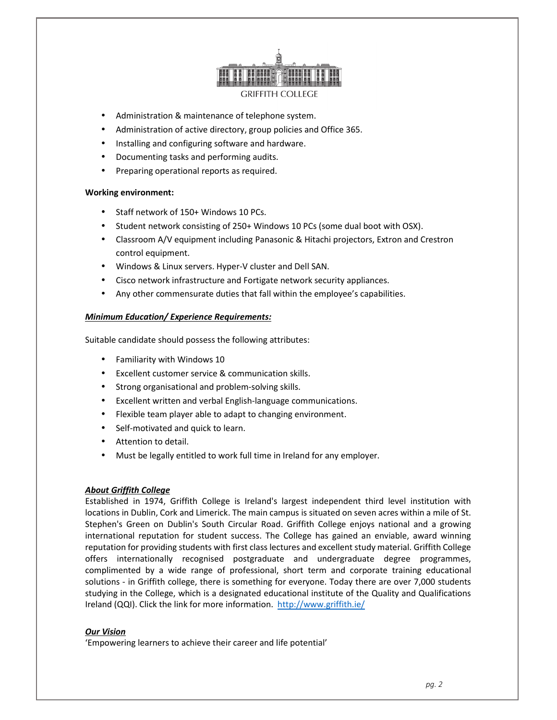

- Administration & maintenance of telephone system.
- Administration of active directory, group policies and Office 365.
- Installing and configuring software and hardware.
- Documenting tasks and performing audits.
- Preparing operational reports as required.

#### **Working environment:**

- Staff network of 150+ Windows 10 PCs.
- Student network consisting of 250+ Windows 10 PCs (some dual boot with OSX).
- Classroom A/V equipment including Panasonic & Hitachi projectors, Extron and Crestron control equipment.
- Windows & Linux servers. Hyper-V cluster and Dell SAN.
- Cisco network infrastructure and Fortigate network security appliances.
- Any other commensurate duties that fall within the employee's capabilities.

## *Minimum Education/ Experience Requirements:*

Suitable candidate should possess the following attributes:

- Familiarity with Windows 10
- Excellent customer service & communication skills.
- Strong organisational and problem-solving skills.
- Excellent written and verbal English-language communications.
- Flexible team player able to adapt to changing environment.
- Self-motivated and quick to learn.
- Attention to detail.
- Must be legally entitled to work full time in Ireland for any employer.

## *About Griffith College*

Established in 1974, Griffith College is Ireland's largest independent third level institution with locations in Dublin, Cork and Limerick. The main campus is situated on seven acres within a mile of St. Stephen's Green on Dublin's South Circular Road. Griffith College enjoys national and a growing international reputation for student success. The College has gained an enviable, award winning reputation for providing students with first class lectures and excellent study material. Griffith College offers internationally recognised postgraduate and undergraduate degree programmes, complimented by a wide range of professional, short term and corporate training educational solutions - in Griffith college, there is something for everyone. Today there are over 7,000 students studying in the College, which is a designated educational institute of the Quality and Qualifications Ireland (QQI). Click the link for more information. http://www.griffith.ie/

# *Our Vision*

'Empowering learners to achieve their career and life potential'